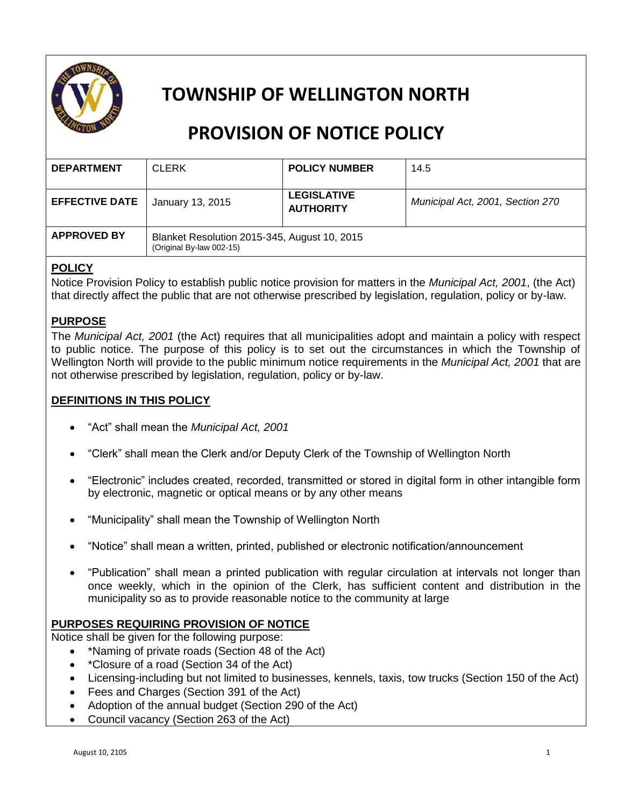

## **TOWNSHIP OF WELLINGTON NORTH**

# **PROVISION OF NOTICE POLICY**

| <b>DEPARTMENT</b>     | <b>CLERK</b>                                                             | <b>POLICY NUMBER</b>                   | 14.5                             |
|-----------------------|--------------------------------------------------------------------------|----------------------------------------|----------------------------------|
| <b>EFFECTIVE DATE</b> | January 13, 2015                                                         | <b>LEGISLATIVE</b><br><b>AUTHORITY</b> | Municipal Act, 2001, Section 270 |
| <b>APPROVED BY</b>    | Blanket Resolution 2015-345, August 10, 2015<br>(Original By-law 002-15) |                                        |                                  |

## **POLICY**

Notice Provision Policy to establish public notice provision for matters in the *Municipal Act, 2001*, (the Act) that directly affect the public that are not otherwise prescribed by legislation, regulation, policy or by-law.

## **PURPOSE**

The *Municipal Act, 2001* (the Act) requires that all municipalities adopt and maintain a policy with respect to public notice. The purpose of this policy is to set out the circumstances in which the Township of Wellington North will provide to the public minimum notice requirements in the *Municipal Act, 2001* that are not otherwise prescribed by legislation, regulation, policy or by-law.

## **DEFINITIONS IN THIS POLICY**

- "Act" shall mean the *Municipal Act, 2001*
- "Clerk" shall mean the Clerk and/or Deputy Clerk of the Township of Wellington North
- "Electronic" includes created, recorded, transmitted or stored in digital form in other intangible form by electronic, magnetic or optical means or by any other means
- "Municipality" shall mean the Township of Wellington North
- "Notice" shall mean a written, printed, published or electronic notification/announcement
- "Publication" shall mean a printed publication with regular circulation at intervals not longer than once weekly, which in the opinion of the Clerk, has sufficient content and distribution in the municipality so as to provide reasonable notice to the community at large

#### **PURPOSES REQUIRING PROVISION OF NOTICE**

Notice shall be given for the following purpose:

- \*Naming of private roads (Section 48 of the Act)
- \*Closure of a road (Section 34 of the Act)
- Licensing-including but not limited to businesses, kennels, taxis, tow trucks (Section 150 of the Act)
- Fees and Charges (Section 391 of the Act)
- Adoption of the annual budget (Section 290 of the Act)
- Council vacancy (Section 263 of the Act)